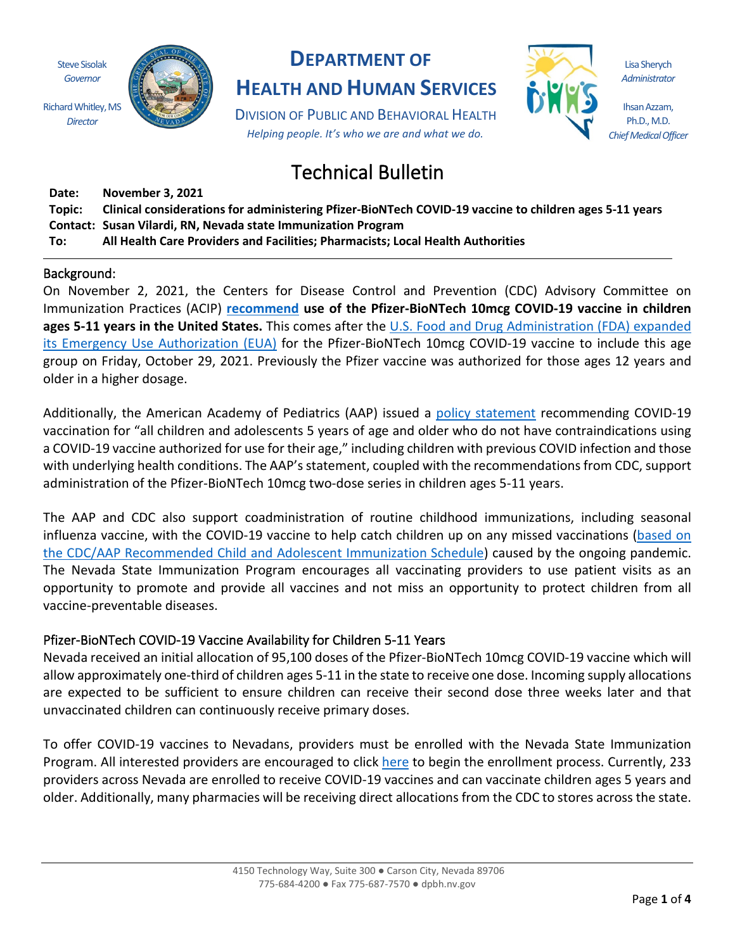Steve Sisolak *Governor* Richard Whitley, MS

*Director*



## **DEPARTMENT OF**

**HEALTH AND HUMAN SERVICES**

DIVISION OF PUBLIC AND BEHAVIORAL HEALTH *Helping people. It's who we are and what we do.*



Lisa Sherych *Administrator*

Ihsan Azzam, Ph.D., M.D. *Chief Medical Officer*

# Technical Bulletin

**Date: November 3, 2021**

**Topic: Clinical considerations for administering Pfizer-BioNTech COVID-19 vaccine to children ages 5-11 years Contact: Susan Vilardi, RN, Nevada state Immunization Program**

**To: All Health Care Providers and Facilities; Pharmacists; Local Health Authorities**

## Background:

On November 2, 2021, the Centers for Disease Control and Prevention (CDC) Advisory Committee on Immunization Practices (ACIP) **[recommend](https://www.cdc.gov/media/releases/2021/s1102-PediatricCOVID-19Vaccine.html) use of the Pfizer-BioNTech 10mcg COVID-19 vaccine in children ages 5-11 years in the United States.** This comes after the [U.S. Food and Drug Administration \(FDA\) expanded](https://www.fda.gov/news-events/press-announcements/fda-authorizes-pfizer-biontech-covid-19-vaccine-emergency-use-children-5-through-11-years-age)  [its Emergency Use Authorization \(EUA\)](https://www.fda.gov/news-events/press-announcements/fda-authorizes-pfizer-biontech-covid-19-vaccine-emergency-use-children-5-through-11-years-age) for the Pfizer-BioNTech 10mcg COVID-19 vaccine to include this age group on Friday, October 29, 2021. Previously the Pfizer vaccine was authorized for those ages 12 years and older in a higher dosage.

Additionally, the American Academy of Pediatrics (AAP) issued a [policy statement](https://www.aap.org/en/pages/covid-19-vaccines-in-children-and-adolescents-policy/) recommending COVID-19 vaccination for "all children and adolescents 5 years of age and older who do not have contraindications using a COVID-19 vaccine authorized for use for their age," including children with previous COVID infection and those with underlying health conditions. The AAP's statement, coupled with the recommendations from CDC, support administration of the Pfizer-BioNTech 10mcg two-dose series in children ages 5-11 years.

The AAP and CDC also support coadministration of routine childhood immunizations, including seasonal influenza vaccine, with the COVID-19 vaccine to help catch children up on any missed vaccinations [\(based on](https://www.cdc.gov/vaccines/schedules/hcp/imz/child-adolescent.html)  [the CDC/AAP Recommended Child and Adolescent Immunization Schedule\)](https://www.cdc.gov/vaccines/schedules/hcp/imz/child-adolescent.html) caused by the ongoing pandemic. The Nevada State Immunization Program encourages all vaccinating providers to use patient visits as an opportunity to promote and provide all vaccines and not miss an opportunity to protect children from all vaccine-preventable diseases.

## Pfizer-BioNTech COVID-19 Vaccine Availability for Children 5-11 Years

Nevada received an initial allocation of 95,100 doses of the Pfizer-BioNTech 10mcg COVID-19 vaccine which will allow approximately one-third of children ages 5-11 in the state to receive one dose. Incoming supply allocations are expected to be sufficient to ensure children can receive their second dose three weeks later and that unvaccinated children can continuously receive primary doses.

To offer COVID-19 vaccines to Nevadans, providers must be enrolled with the Nevada State Immunization Program. All interested providers are encouraged to click [here](https://www.surveymonkey.com/r/9VLNBGB) to begin the enrollment process. Currently, 233 providers across Nevada are enrolled to receive COVID-19 vaccines and can vaccinate children ages 5 years and older. Additionally, many pharmacies will be receiving direct allocations from the CDC to stores across the state.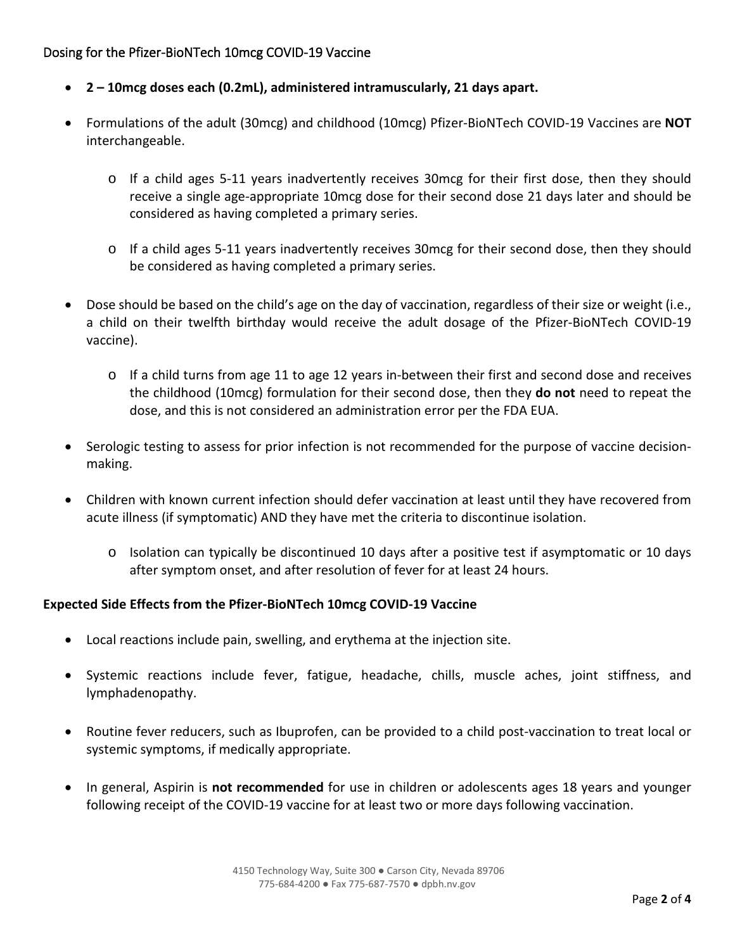## Dosing for the Pfizer-BioNTech 10mcg COVID-19 Vaccine

- **2 – 10mcg doses each (0.2mL), administered intramuscularly, 21 days apart.**
- Formulations of the adult (30mcg) and childhood (10mcg) Pfizer-BioNTech COVID-19 Vaccines are **NOT** interchangeable.
	- o If a child ages 5-11 years inadvertently receives 30mcg for their first dose, then they should receive a single age-appropriate 10mcg dose for their second dose 21 days later and should be considered as having completed a primary series.
	- o If a child ages 5-11 years inadvertently receives 30mcg for their second dose, then they should be considered as having completed a primary series.
- Dose should be based on the child's age on the day of vaccination, regardless of their size or weight (i.e., a child on their twelfth birthday would receive the adult dosage of the Pfizer-BioNTech COVID-19 vaccine).
	- o If a child turns from age 11 to age 12 years in-between their first and second dose and receives the childhood (10mcg) formulation for their second dose, then they **do not** need to repeat the dose, and this is not considered an administration error per the FDA EUA.
- Serologic testing to assess for prior infection is not recommended for the purpose of vaccine decisionmaking.
- Children with known current infection should defer vaccination at least until they have recovered from acute illness (if symptomatic) AND they have met the criteria to discontinue isolation.
	- o Isolation can typically be discontinued 10 days after a positive test if asymptomatic or 10 days after symptom onset, and after resolution of fever for at least 24 hours.

## **Expected Side Effects from the Pfizer-BioNTech 10mcg COVID-19 Vaccine**

- Local reactions include pain, swelling, and erythema at the injection site.
- Systemic reactions include fever, fatigue, headache, chills, muscle aches, joint stiffness, and lymphadenopathy.
- Routine fever reducers, such as Ibuprofen, can be provided to a child post-vaccination to treat local or systemic symptoms, if medically appropriate.
- In general, Aspirin is **not recommended** for use in children or adolescents ages 18 years and younger following receipt of the COVID-19 vaccine for at least two or more days following vaccination.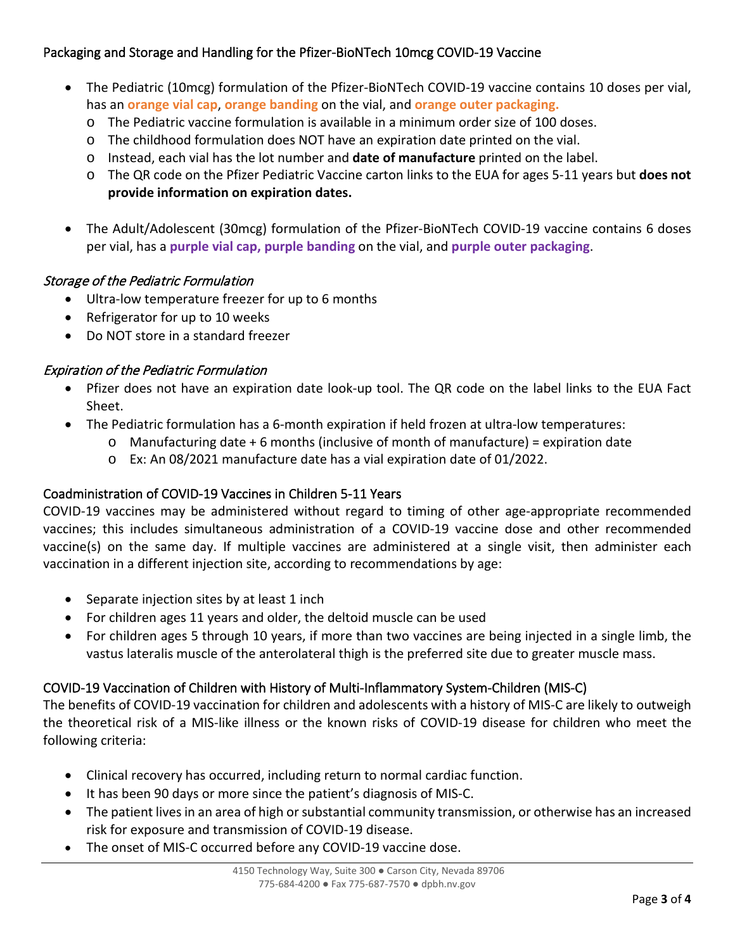## Packaging and Storage and Handling for the Pfizer-BioNTech 10mcg COVID-19 Vaccine

- The Pediatric (10mcg) formulation of the Pfizer-BioNTech COVID-19 vaccine contains 10 doses per vial, has an **orange vial cap**, **orange banding** on the vial, and **orange outer packaging.** 
	- o The Pediatric vaccine formulation is available in a minimum order size of 100 doses.
	- o The childhood formulation does NOT have an expiration date printed on the vial.
	- o Instead, each vial has the lot number and **date of manufacture** printed on the label.
	- o The QR code on the Pfizer Pediatric Vaccine carton links to the EUA for ages 5-11 years but **does not provide information on expiration dates.**
- The Adult/Adolescent (30mcg) formulation of the Pfizer-BioNTech COVID-19 vaccine contains 6 doses per vial, has a **purple vial cap, purple banding** on the vial, and **purple outer packaging**.

## Storage of the Pediatric Formulation

- Ultra-low temperature freezer for up to 6 months
- Refrigerator for up to 10 weeks
- Do NOT store in a standard freezer

## Expiration of the Pediatric Formulation

- Pfizer does not have an expiration date look-up tool. The QR code on the label links to the EUA Fact Sheet.
- The Pediatric formulation has a 6-month expiration if held frozen at ultra-low temperatures:
	- $\circ$  Manufacturing date + 6 months (inclusive of month of manufacture) = expiration date
	- o Ex: An 08/2021 manufacture date has a vial expiration date of 01/2022.

## Coadministration of COVID-19 Vaccines in Children 5-11 Years

COVID-19 vaccines may be administered without regard to timing of other age-appropriate recommended vaccines; this includes simultaneous administration of a COVID-19 vaccine dose and other recommended vaccine(s) on the same day. If multiple vaccines are administered at a single visit, then administer each vaccination in a different injection site, according to recommendations by age:

- Separate injection sites by at least 1 inch
- For children ages 11 years and older, the deltoid muscle can be used
- For children ages 5 through 10 years, if more than two vaccines are being injected in a single limb, the vastus lateralis muscle of the anterolateral thigh is the preferred site due to greater muscle mass.

## COVID-19 Vaccination of Children with History of Multi-Inflammatory System-Children (MIS-C)

The benefits of COVID-19 vaccination for children and adolescents with a history of MIS-C are likely to outweigh the theoretical risk of a MIS-like illness or the known risks of COVID-19 disease for children who meet the following criteria:

- Clinical recovery has occurred, including return to normal cardiac function.
- It has been 90 days or more since the patient's diagnosis of MIS-C.
- The patient lives in an area of high or substantial community transmission, or otherwise has an increased risk for exposure and transmission of COVID-19 disease.
- The onset of MIS-C occurred before any COVID-19 vaccine dose.